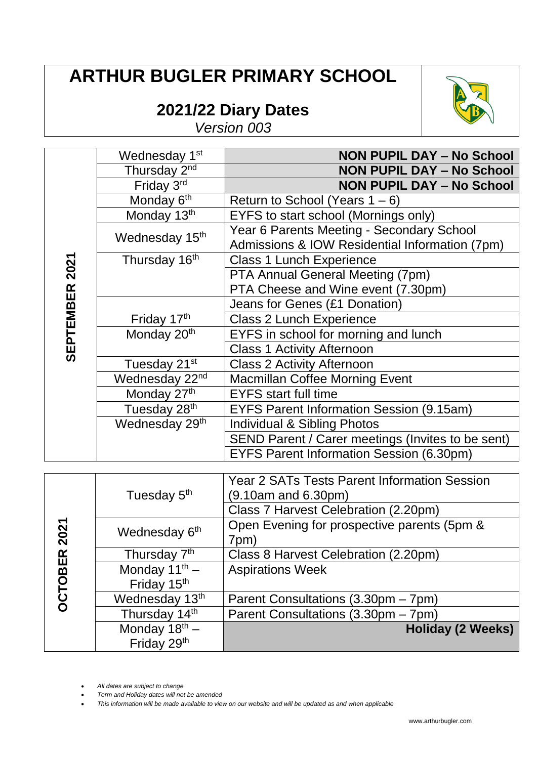## **ARTHUR BUGLER PRIMARY SCHOOL**

## **2021/22 Diary Dates**



*Version 003*

|                | Wednesday 1st              | <b>NON PUPIL DAY - No School</b>                                                            |
|----------------|----------------------------|---------------------------------------------------------------------------------------------|
|                | Thursday 2 <sup>nd</sup>   | <b>NON PUPIL DAY - No School</b>                                                            |
|                | Friday 3rd                 | <b>NON PUPIL DAY - No School</b>                                                            |
|                | Monday 6 <sup>th</sup>     | Return to School (Years $1 - 6$ )                                                           |
|                | Monday 13th                | EYFS to start school (Mornings only)                                                        |
|                | Wednesday 15 <sup>th</sup> | Year 6 Parents Meeting - Secondary School<br>Admissions & IOW Residential Information (7pm) |
|                | Thursday 16 <sup>th</sup>  | <b>Class 1 Lunch Experience</b>                                                             |
|                |                            | PTA Annual General Meeting (7pm)                                                            |
|                |                            | PTA Cheese and Wine event (7.30pm)                                                          |
|                |                            | Jeans for Genes (£1 Donation)                                                               |
| SEPTEMBER 2021 | Friday 17th                | <b>Class 2 Lunch Experience</b>                                                             |
|                | Monday 20 <sup>th</sup>    | EYFS in school for morning and lunch                                                        |
|                |                            | <b>Class 1 Activity Afternoon</b>                                                           |
|                | Tuesday 21 <sup>st</sup>   | <b>Class 2 Activity Afternoon</b>                                                           |
|                | Wednesday 22 <sup>nd</sup> | <b>Macmillan Coffee Morning Event</b>                                                       |
|                | Monday 27th                | <b>EYFS</b> start full time                                                                 |
|                | Tuesday 28th               | <b>EYFS Parent Information Session (9.15am)</b>                                             |
|                | Wednesday 29th             | <b>Individual &amp; Sibling Photos</b>                                                      |
|                |                            | SEND Parent / Carer meetings (Invites to be sent)                                           |
|                |                            | <b>EYFS Parent Information Session (6.30pm)</b>                                             |
|                |                            |                                                                                             |
|                |                            | <b>Year 2 SATs Tests Parent Information Session</b>                                         |

|                | Tuesday 5 <sup>th</sup>   | Year 2 SATs Tests Parent Information Session<br>$(9.10am$ and 6.30pm) |
|----------------|---------------------------|-----------------------------------------------------------------------|
|                |                           | Class 7 Harvest Celebration (2.20pm)                                  |
| 2021           | Wednesday 6 <sup>th</sup> | Open Evening for prospective parents (5pm &                           |
|                |                           | 7pm)                                                                  |
|                | Thursday 7 <sup>th</sup>  | Class 8 Harvest Celebration (2.20pm)                                  |
|                | Monday $11^{th}$ –        | <b>Aspirations Week</b>                                               |
|                | Friday 15 <sup>th</sup>   |                                                                       |
| <b>OCTOBER</b> | Wednesday 13th            | Parent Consultations (3.30pm – 7pm)                                   |
|                | Thursday 14th             | Parent Consultations (3.30pm - 7pm)                                   |
|                | Monday $18^{th}$ –        | <b>Holiday (2 Weeks)</b>                                              |
|                | Friday 29th               |                                                                       |

*All dates are subject to change*

*Term and Holiday dates will not be amended*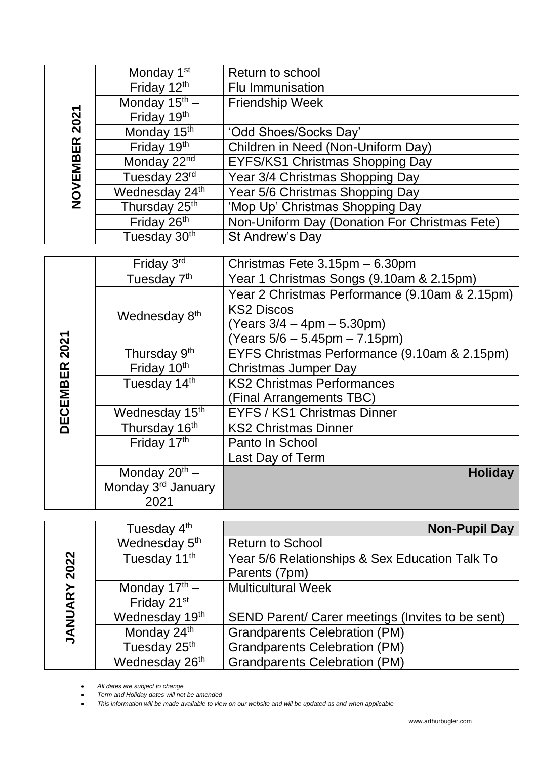|               | Monday 1 <sup>st</sup>         | Return to school                               |
|---------------|--------------------------------|------------------------------------------------|
|               | Friday 12th                    | <b>Flu Immunisation</b>                        |
|               | Monday $15^{\text{th}}$ –      | <b>Friendship Week</b>                         |
|               | Friday 19th                    |                                                |
| NOVEMBER 2021 | Monday 15 <sup>th</sup>        | 'Odd Shoes/Socks Day'                          |
|               | Friday 19th                    | Children in Need (Non-Uniform Day)             |
|               | Monday 22nd                    | EYFS/KS1 Christmas Shopping Day                |
|               | Tuesday 23rd                   | Year 3/4 Christmas Shopping Day                |
|               | Wednesday 24th                 | Year 5/6 Christmas Shopping Day                |
|               | Thursday 25 <sup>th</sup>      | 'Mop Up' Christmas Shopping Day                |
|               | Friday 26th                    | Non-Uniform Day (Donation For Christmas Fete)  |
|               | Tuesday 30 <sup>th</sup>       | St Andrew's Day                                |
|               |                                |                                                |
|               | Friday 3rd                     | Christmas Fete 3.15pm - 6.30pm                 |
|               | Tuesday 7 <sup>th</sup>        | Year 1 Christmas Songs (9.10am & 2.15pm)       |
|               |                                | Year 2 Christmas Performance (9.10am & 2.15pm) |
|               | Wednesday 8 <sup>th</sup>      | <b>KS2 Discos</b>                              |
|               |                                | $(Years 3/4 - 4pm - 5.30pm)$                   |
| DECEMBER 2021 |                                | (Years $5/6 - 5.45$ pm $- 7.15$ pm)            |
|               | Thursday 9th                   | EYFS Christmas Performance (9.10am & 2.15pm)   |
|               | Friday 10th                    | <b>Christmas Jumper Day</b>                    |
|               | Tuesday 14th                   | <b>KS2 Christmas Performances</b>              |
|               |                                | (Final Arrangements TBC)                       |
|               | Wednesday 15 <sup>th</sup>     | EYFS / KS1 Christmas Dinner                    |
|               | Thursday 16 <sup>th</sup>      | <b>KS2 Christmas Dinner</b>                    |
|               | Friday 17th                    | Panto In School                                |
|               |                                | Last Day of Term                               |
|               | Monday $20^{th}$ –             | <b>Holiday</b>                                 |
|               | Monday 3 <sup>rd</sup> January |                                                |
|               | 2021                           |                                                |

|               | Tuesday 4 <sup>th</sup>    | <b>Non-Pupil Day</b>                             |
|---------------|----------------------------|--------------------------------------------------|
|               | Wednesday 5 <sup>th</sup>  | <b>Return to School</b>                          |
| 2022          | Tuesday 11 <sup>th</sup>   | Year 5/6 Relationships & Sex Education Talk To   |
|               |                            | Parents (7pm)                                    |
| RY            | Monday $17^{\text{th}}$ –  | <b>Multicultural Week</b>                        |
|               | Friday 21 <sup>st</sup>    |                                                  |
| <b>JANUAF</b> | Wednesday 19th             | SEND Parent/ Carer meetings (Invites to be sent) |
|               | Monday 24th                | <b>Grandparents Celebration (PM)</b>             |
|               | Tuesday 25th               | <b>Grandparents Celebration (PM)</b>             |
|               | Wednesday 26 <sup>th</sup> | <b>Grandparents Celebration (PM)</b>             |

*All dates are subject to change*

*Term and Holiday dates will not be amended*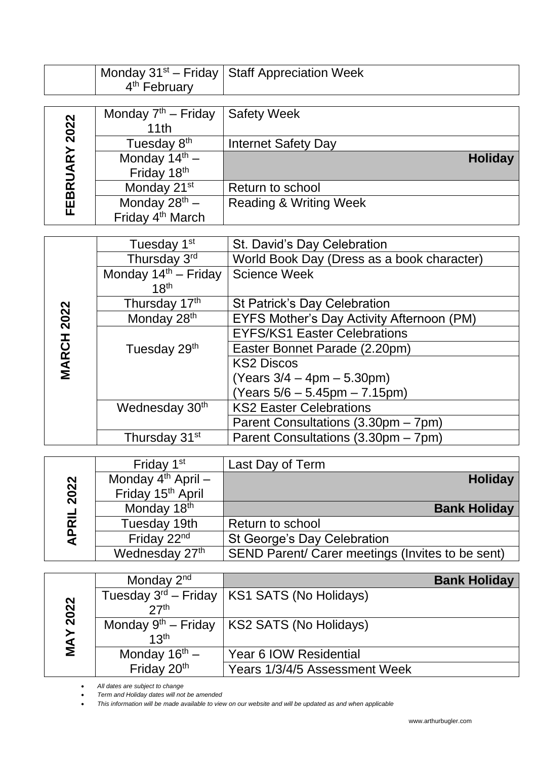|               |                                  | Monday 31 <sup>st</sup> – Friday   Staff Appreciation Week |
|---------------|----------------------------------|------------------------------------------------------------|
|               | 4 <sup>th</sup> February         |                                                            |
|               |                                  |                                                            |
|               | Monday $7th$ – Friday            | <b>Safety Week</b>                                         |
|               | 11th                             |                                                            |
| FEBRUARY 2022 | Tuesday 8 <sup>th</sup>          | <b>Internet Safety Day</b>                                 |
|               | Monday $14^{th}$ –               | <b>Holiday</b>                                             |
|               | Friday 18th                      |                                                            |
|               | Monday 21 <sup>st</sup>          | Return to school                                           |
|               | Monday $28^{th}$ –               | <b>Reading &amp; Writing Week</b>                          |
|               | Friday 4 <sup>th</sup> March     |                                                            |
|               |                                  |                                                            |
|               | Tuesday 1 <sup>st</sup>          | St. David's Day Celebration                                |
|               | Thursday 3rd                     | World Book Day (Dress as a book character)                 |
|               | Monday $14^{\text{th}}$ – Friday | <b>Science Week</b>                                        |

|              | Monday $14th$ – Friday Science Week |                                           |
|--------------|-------------------------------------|-------------------------------------------|
|              | 18 <sup>th</sup>                    |                                           |
|              | Thursday 17th                       | <b>St Patrick's Day Celebration</b>       |
| 2022         | Monday 28 <sup>th</sup>             | EYFS Mother's Day Activity Afternoon (PM) |
|              |                                     | <b>EYFS/KS1 Easter Celebrations</b>       |
| <b>MARCH</b> | Tuesday 29 <sup>th</sup>            | Easter Bonnet Parade (2.20pm)             |
|              |                                     | <b>KS2 Discos</b>                         |
|              |                                     | $(Years 3/4 - 4pm - 5.30pm)$              |
|              |                                     | $(Years 5/6 - 5.45pm - 7.15pm)$           |
|              | Wednesday 30 <sup>th</sup>          | <b>KS2 Easter Celebrations</b>            |
|              |                                     | Parent Consultations (3.30pm – 7pm)       |
|              | Thursday 31 <sup>st</sup>           | Parent Consultations (3.30pm – 7pm)       |
|              |                                     |                                           |

|              | Friday 1 <sup>st</sup>        | Last Day of Term                                 |
|--------------|-------------------------------|--------------------------------------------------|
|              | Monday $4th$ April –          | <b>Holiday</b>                                   |
| 2022         | Friday 15 <sup>th</sup> April |                                                  |
|              | Monday 18th                   | <b>Bank Holiday</b>                              |
| <b>APRIL</b> | Tuesday 19th                  | Return to school                                 |
|              | Friday 22 <sup>nd</sup>       | <b>St George's Day Celebration</b>               |
|              | Wednesday 27th                | SEND Parent/ Carer meetings (Invites to be sent) |

|           | Monday 2 <sup>nd</sup>    | <b>Bank Holiday</b>                                |
|-----------|---------------------------|----------------------------------------------------|
|           |                           | Tuesday $3^{rd}$ – Friday   KS1 SATS (No Holidays) |
| 2022      | 27 <sup>th</sup>          |                                                    |
|           |                           | Monday $9th$ – Friday   KS2 SATS (No Holidays)     |
| <b>AN</b> | 13 <sup>th</sup>          |                                                    |
|           | Monday $16^{\text{th}}$ – | Year 6 IOW Residential                             |
|           | Friday 20 <sup>th</sup>   | Years 1/3/4/5 Assessment Week                      |

*All dates are subject to change*

*Term and Holiday dates will not be amended*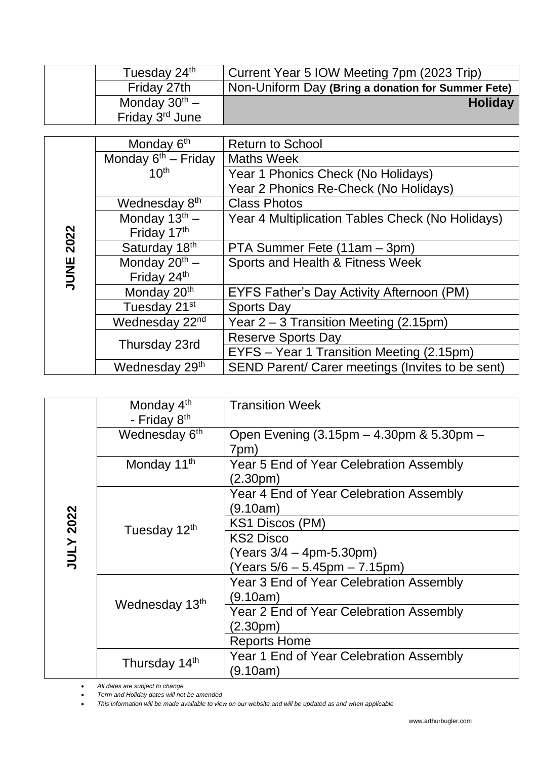| Tuesday 24th                | Current Year 5 IOW Meeting 7pm (2023 Trip)         |
|-----------------------------|----------------------------------------------------|
| Friday 27th                 | Non-Uniform Day (Bring a donation for Summer Fete) |
| Monday $30^{th}$ –          | <b>Holiday</b>                                     |
| Friday 3 <sup>rd</sup> June |                                                    |

|      | Monday 6 <sup>th</sup>     | <b>Return to School</b>                          |
|------|----------------------------|--------------------------------------------------|
|      | Monday $6th$ – Friday      | <b>Maths Week</b>                                |
|      | 10 <sup>th</sup>           | Year 1 Phonics Check (No Holidays)               |
|      |                            | Year 2 Phonics Re-Check (No Holidays)            |
|      | Wednesday 8 <sup>th</sup>  | <b>Class Photos</b>                              |
|      | Monday $13^{th}$ –         | Year 4 Multiplication Tables Check (No Holidays) |
|      | Friday 17th                |                                                  |
| 2022 | Saturday 18th              | PTA Summer Fete (11am – 3pm)                     |
| JUNE | Monday $20^{th}$ –         | Sports and Health & Fitness Week                 |
|      | Friday 24th                |                                                  |
|      | Monday 20 <sup>th</sup>    | <b>EYFS Father's Day Activity Afternoon (PM)</b> |
|      | Tuesday 21 <sup>st</sup>   | <b>Sports Day</b>                                |
|      | Wednesday 22 <sup>nd</sup> | Year $2 - 3$ Transition Meeting (2.15pm)         |
|      | Thursday 23rd              | <b>Reserve Sports Day</b>                        |
|      |                            | EYFS - Year 1 Transition Meeting (2.15pm)        |
|      | Wednesday 29th             | SEND Parent/ Carer meetings (Invites to be sent) |
|      |                            |                                                  |

|                  | Monday 4 <sup>th</sup><br>- Friday 8 <sup>th</sup> | <b>Transition Week</b>                                            |
|------------------|----------------------------------------------------|-------------------------------------------------------------------|
|                  | Wednesday 6 <sup>th</sup>                          | Open Evening (3.15pm – 4.30pm & 5.30pm –<br>7pm)                  |
|                  | Monday 11 <sup>th</sup>                            | Year 5 End of Year Celebration Assembly<br>(2.30pm)               |
|                  |                                                    | Year 4 End of Year Celebration Assembly<br>(9.10am)               |
| <b>JULY 2022</b> | Tuesday 12th                                       | KS1 Discos (PM)                                                   |
|                  |                                                    | <b>KS2 Disco</b>                                                  |
|                  |                                                    | $(Years 3/4 - 4pm-5.30pm)$<br>(Years $5/6 - 5.45$ pm $- 7.15$ pm) |
|                  | Wednesday 13th                                     | Year 3 End of Year Celebration Assembly<br>(9.10am)               |
|                  |                                                    | Year 2 End of Year Celebration Assembly                           |
|                  |                                                    | (2.30 <sub>pm</sub> )                                             |
|                  |                                                    | <b>Reports Home</b>                                               |
|                  | Thursday 14th                                      | Year 1 End of Year Celebration Assembly<br>(9.10am)               |

*All dates are subject to change*

*Term and Holiday dates will not be amended*